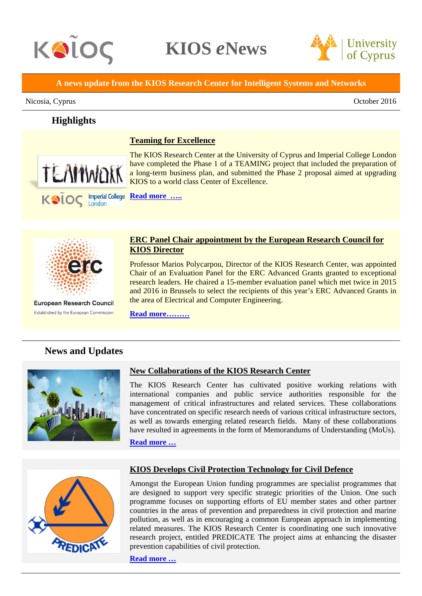

**Highlights**

**KIOS** *e***News**



**A news update from the KIOS Research Center for Intelligent Systems and Networks**

#### Nicosia, Cyprus **October 2016**

# **Teaming for Excellence**



The KIOS Research Center at the University of Cyprus and Imperial College London have completed the Phase 1 of a TEAMING project that included the preparation of a long-term business plan, and submitted the Phase 2 proposal aimed at upgrading KIOS to a world class Center of Excellence.



**European Research Council** Established by the European Commission

### **ERC Panel Chair appointment by the European Research Council for KIOS Director**

Professor Marios Polycarpou, Director of the KIOS Research Center, was appointed Chair of an Evaluation Panel for the ERC Advanced Grants granted to exceptional research leaders. He chaired a 15-member evaluation panel which met twice in 2015 and 2016 in Brussels to select the recipients of this year's ERC Advanced Grants in the area of Electrical and Computer Engineering.

**[Read more………](http://www.kios.ucy.ac.cy/news-a-events/events/278-panel-chair-appointment-by-the-european-research-council-erc-for-university-of-cyprus-professor.html)**

# **News and Updates**



#### **New Collaborations of the KIOS Research Center**

The KIOS Research Center has cultivated positive working relations with international companies and public service authorities responsible for the management of critical infrastructures and related services. These collaborations have concentrated on specific research needs of various critical infrastructure sectors, as well as towards emerging related research fields. Many of these collaborations have resulted in agreements in the form of Memorandums of Understanding (MoUs).

**[Read more …](http://www.kios.ucy.ac.cy/news-a-events/events/308-recent-kios-collaborations.html)**



## **KIOS Develops Civil Protection Technology for Civil Defence**

Amongst the European Union funding programmes are specialist programmes that are designed to support very specific strategic priorities of the Union. One such programme focuses on supporting efforts of EU member states and other partner countries in the areas of prevention and preparedness in civil protection and marine pollution, as well as in encouraging a common European approach in implementing related measures. The KIOS Research Center is coordinating one such innovative research project, entitled PREDICATE The project aims at enhancing the disaster prevention capabilities of civil protection.

**[Read more …](http://www.kios.ucy.ac.cy/news-a-events/events/309-kios-develops-civil-protection-tools-for-civil-defence.html)**